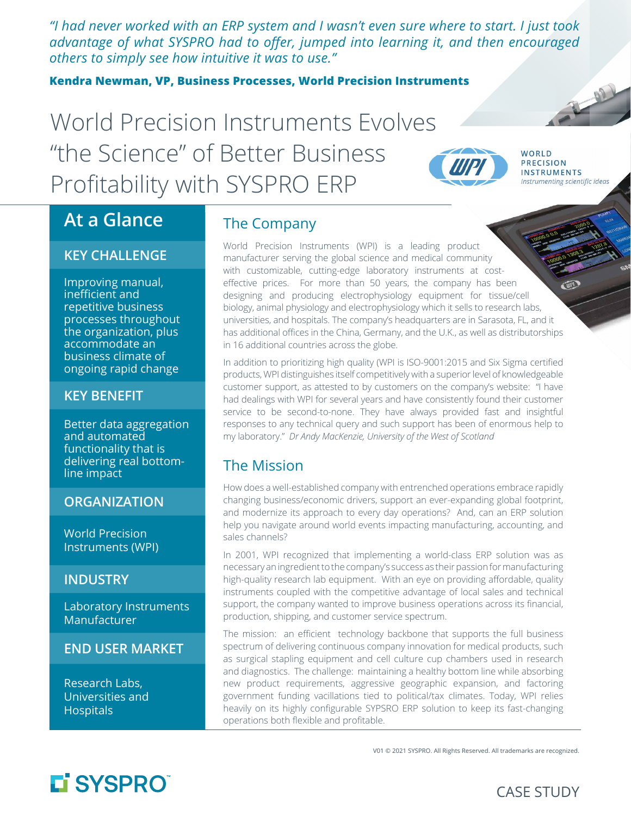*"I had never worked with an ERP system and I wasn't even sure where to start. I just took advantage of what SYSPRO had to offer, jumped into learning it, and then encouraged others to simply see how intuitive it was to use."*

**Kendra Newman, VP, Business Processes, World Precision Instruments**

# World Precision Instruments Evolves "the Science" of Better Business Profitability with SYSPRO ERP



B

## **At a Glance**

#### **KEY CHALLENGE**

Improving manual, inefficient and repetitive business processes throughout the organization, plus accommodate an business climate of ongoing rapid change

#### **KEY BENEFIT**

Better data aggregation and automated functionality that is delivering real bottomline impact

#### **ORGANIZATION**

World Precision Instruments (WPI)

#### **INDUSTRY**

Laboratory Instruments Manufacturer

#### **END USER MARKET**

Research Labs, Universities and Hospitals

## The Company

World Precision Instruments (WPI) is a leading product manufacturer serving the global science and medical community with customizable, cutting-edge laboratory instruments at costeffective prices. For more than 50 years, the company has been designing and producing electrophysiology equipment for tissue/cell biology, animal physiology and electrophysiology which it sells to research labs, universities, and hospitals. The company's headquarters are in Sarasota, FL, and it has additional offices in the China, Germany, and the U.K., as well as distributorships in 16 additional countries across the globe.

In addition to prioritizing high quality (WPI is ISO-9001:2015 and Six Sigma certified products, WPI distinguishes itself competitively with a superior level of knowledgeable customer support, as attested to by customers on the company's website: "I have had dealings with WPI for several years and have consistently found their customer service to be second-to-none. They have always provided fast and insightful responses to any technical query and such support has been of enormous help to my laboratory." *Dr Andy MacKenzie, University of the West of Scotland*

## The Mission

How does a well-established company with entrenched operations embrace rapidly changing business/economic drivers, support an ever-expanding global footprint, and modernize its approach to every day operations? And, can an ERP solution help you navigate around world events impacting manufacturing, accounting, and sales channels?

In 2001, WPI recognized that implementing a world-class ERP solution was as necessary an ingredient to the company's success as their passion for manufacturing high-quality research lab equipment. With an eye on providing affordable, quality instruments coupled with the competitive advantage of local sales and technical support, the company wanted to improve business operations across its financial, production, shipping, and customer service spectrum.

The mission: an efficient technology backbone that supports the full business spectrum of delivering continuous company innovation for medical products, such as surgical stapling equipment and cell culture cup chambers used in research and diagnostics. The challenge: maintaining a healthy bottom line while absorbing new product requirements, aggressive geographic expansion, and factoring government funding vacillations tied to political/tax climates. Today, WPI relies heavily on its highly configurable SYPSRO ERP solution to keep its fast-changing operations both flexible and profitable.

V01 © 2021 SYSPRO. All Rights Reserved. All trademarks are recognized.

# L'SYSPRO®

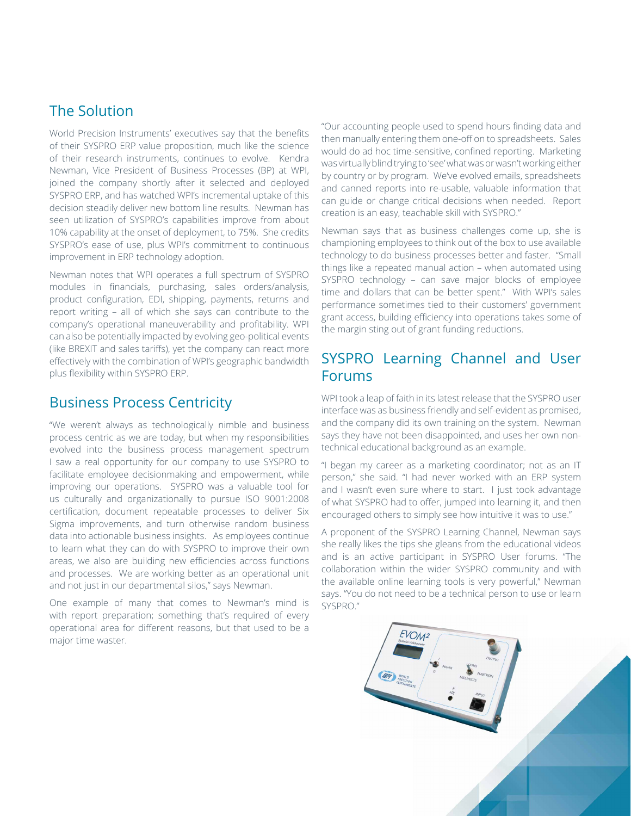## The Solution

World Precision Instruments' executives say that the benefits of their SYSPRO ERP value proposition, much like the science of their research instruments, continues to evolve. Kendra Newman, Vice President of Business Processes (BP) at WPI, joined the company shortly after it selected and deployed SYSPRO ERP, and has watched WPI's incremental uptake of this decision steadily deliver new bottom line results. Newman has seen utilization of SYSPRO's capabilities improve from about 10% capability at the onset of deployment, to 75%. She credits SYSPRO's ease of use, plus WPI's commitment to continuous improvement in ERP technology adoption.

Newman notes that WPI operates a full spectrum of SYSPRO modules in financials, purchasing, sales orders/analysis, product configuration, EDI, shipping, payments, returns and report writing – all of which she says can contribute to the company's operational maneuverability and profitability. WPI can also be potentially impacted by evolving geo-political events (like BREXIT and sales tariffs), yet the company can react more effectively with the combination of WPI's geographic bandwidth plus flexibility within SYSPRO ERP.

## Business Process Centricity

"We weren't always as technologically nimble and business process centric as we are today, but when my responsibilities evolved into the business process management spectrum I saw a real opportunity for our company to use SYSPRO to facilitate employee decisionmaking and empowerment, while improving our operations. SYSPRO was a valuable tool for us culturally and organizationally to pursue ISO 9001:2008 certification, document repeatable processes to deliver Six Sigma improvements, and turn otherwise random business data into actionable business insights. As employees continue to learn what they can do with SYSPRO to improve their own areas, we also are building new efficiencies across functions and processes. We are working better as an operational unit and not just in our departmental silos," says Newman.

One example of many that comes to Newman's mind is with report preparation; something that's required of every operational area for different reasons, but that used to be a major time waster.

"Our accounting people used to spend hours finding data and then manually entering them one-off on to spreadsheets. Sales would do ad hoc time-sensitive, confined reporting. Marketing was virtually blind trying to 'see' what was or wasn't working either by country or by program. We've evolved emails, spreadsheets and canned reports into re-usable, valuable information that can guide or change critical decisions when needed. Report creation is an easy, teachable skill with SYSPRO."

Newman says that as business challenges come up, she is championing employees to think out of the box to use available technology to do business processes better and faster. "Small things like a repeated manual action – when automated using SYSPRO technology – can save major blocks of employee time and dollars that can be better spent." With WPI's sales performance sometimes tied to their customers' government grant access, building efficiency into operations takes some of the margin sting out of grant funding reductions.

## SYSPRO Learning Channel and User Forums

WPI took a leap of faith in its latest release that the SYSPRO user interface was as business friendly and self-evident as promised, and the company did its own training on the system. Newman says they have not been disappointed, and uses her own nontechnical educational background as an example.

"I began my career as a marketing coordinator; not as an IT person," she said. "I had never worked with an ERP system and I wasn't even sure where to start. I just took advantage of what SYSPRO had to offer, jumped into learning it, and then encouraged others to simply see how intuitive it was to use."

A proponent of the SYSPRO Learning Channel, Newman says she really likes the tips she gleans from the educational videos and is an active participant in SYSPRO User forums. "The collaboration within the wider SYSPRO community and with the available online learning tools is very powerful," Newman says. "You do not need to be a technical person to use or learn SYSPRO."